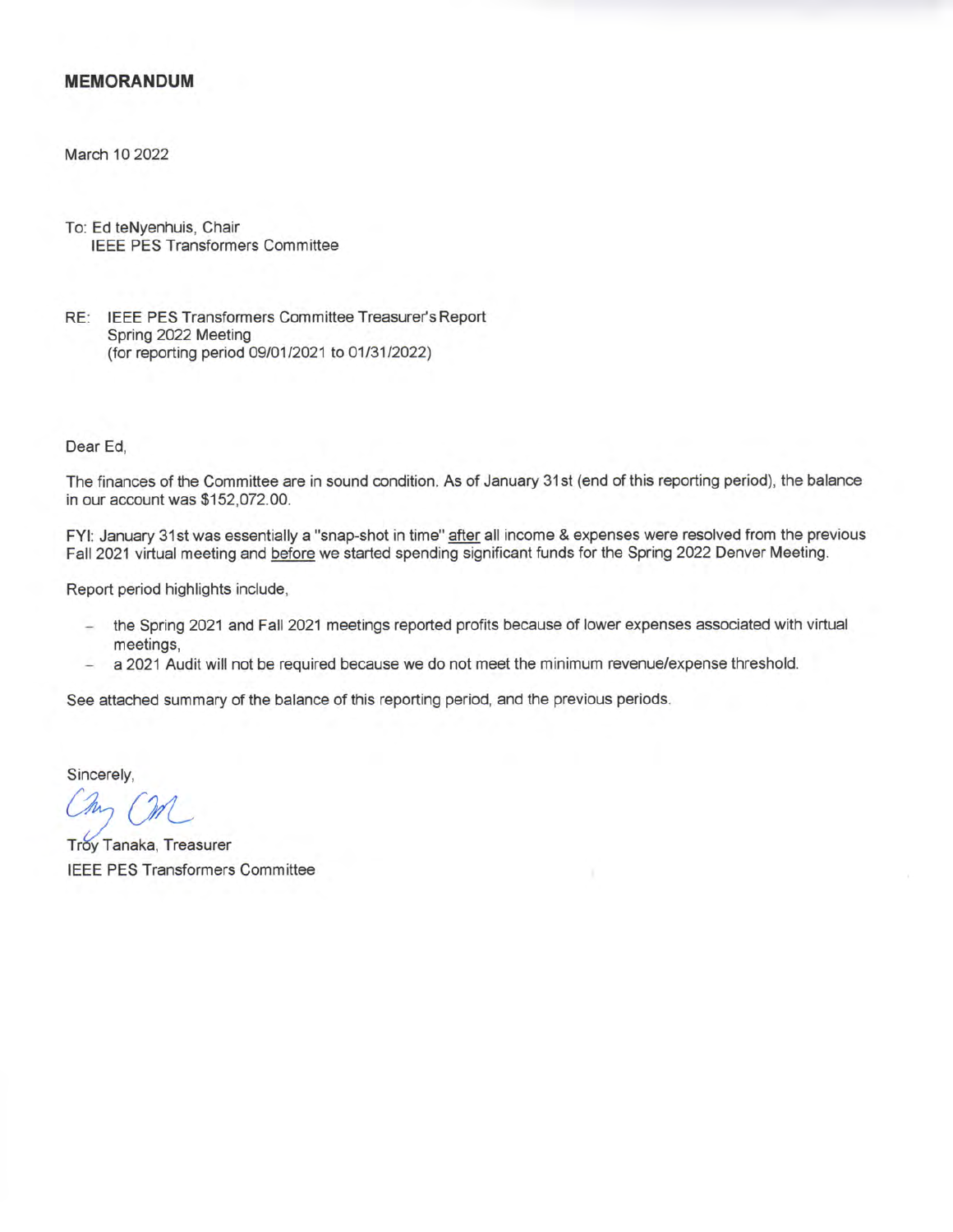## **MEMORANDUM**

March 10 2022

To: Ed teNyenhuis, Chair **IEEE PES Transformers Committee** 

RE: IEEE PES Transformers Committee Treasurer's Report Spring 2022 Meeting (for reporting period 09/01/2021 to 01/31/2022)

Dear Ed,

The finances of the Committee are in sound condition. As of January 31st (end of this reporting period), the balance in our account was \$152,072.00.

FYI: January 31st was essentially a "snap-shot in time" after all income & expenses were resolved from the previous Fall 2021 virtual meeting and before we started spending significant funds for the Spring 2022 Denver Meeting.

Report period highlights include,

- the Spring 2021 and Fall 2021 meetings reported profits because of lower expenses associated with virtual meetings,
- a 2021 Audit will not be required because we do not meet the minimum revenue/expense threshold.

See attached summary of the balance of this reporting period, and the previous periods.

Sincerely.

Troy Tanaka, Treasurer **IEEE PES Transformers Committee**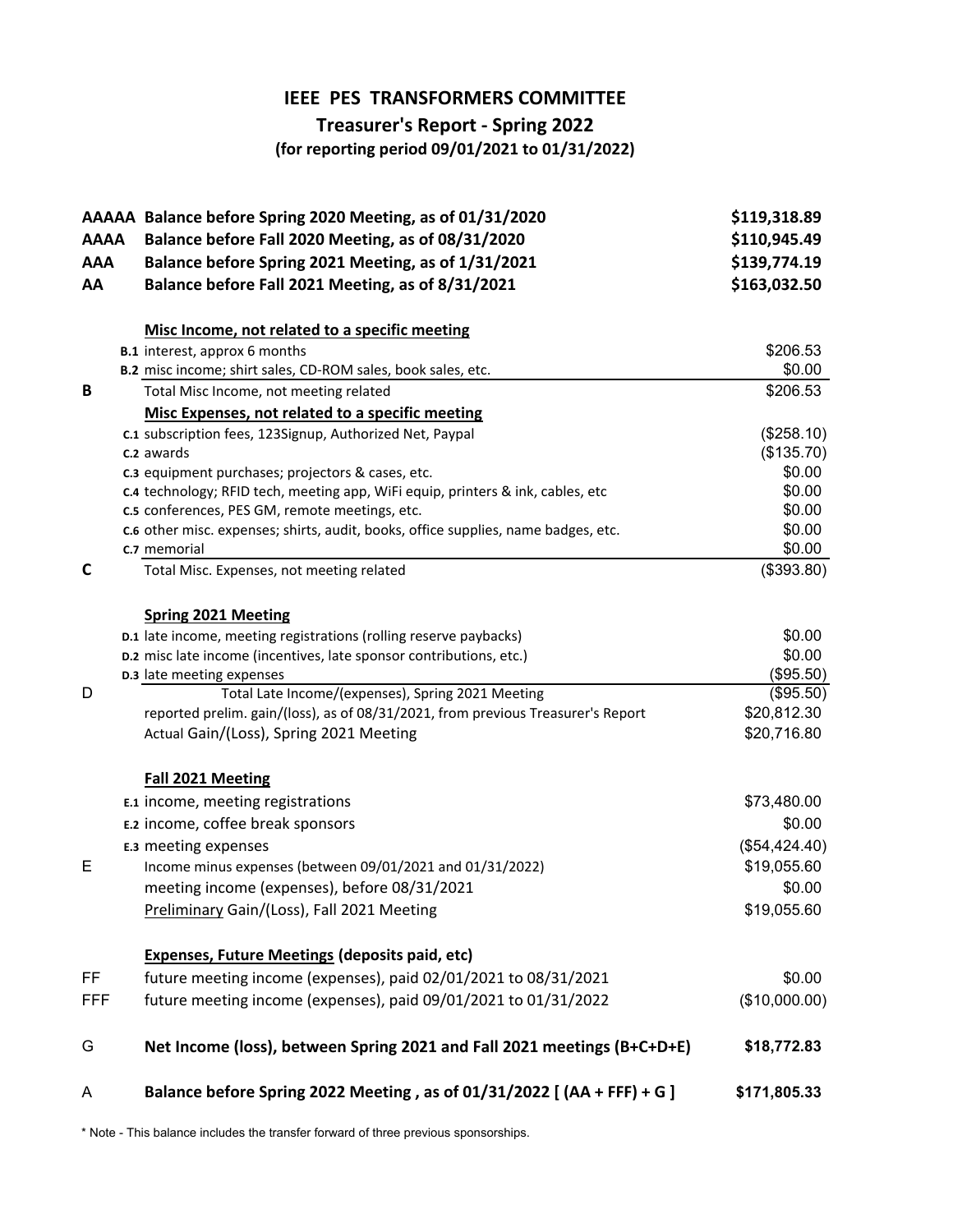## **IEEE PES TRANSFORMERS COMMITTEE**

## **Treasurer's Report - Spring 2022**

**(for reporting period 09/01/2021 to 01/31/2022)**

|             | AAAAA Balance before Spring 2020 Meeting, as of 01/31/2020                                                                        | \$119,318.89     |
|-------------|-----------------------------------------------------------------------------------------------------------------------------------|------------------|
| <b>AAAA</b> | Balance before Fall 2020 Meeting, as of 08/31/2020                                                                                | \$110,945.49     |
| <b>AAA</b>  | Balance before Spring 2021 Meeting, as of 1/31/2021                                                                               | \$139,774.19     |
| AA          | Balance before Fall 2021 Meeting, as of 8/31/2021                                                                                 | \$163,032.50     |
|             | Misc Income, not related to a specific meeting                                                                                    |                  |
|             | <b>B.1</b> interest, approx 6 months                                                                                              | \$206.53         |
|             | B.2 misc income; shirt sales, CD-ROM sales, book sales, etc.                                                                      | \$0.00           |
| B           | Total Misc Income, not meeting related                                                                                            | \$206.53         |
|             | Misc Expenses, not related to a specific meeting                                                                                  |                  |
|             | c.1 subscription fees, 123Signup, Authorized Net, Paypal                                                                          | (\$258.10)       |
|             | c.2 awards                                                                                                                        | (\$135.70)       |
|             | c.3 equipment purchases; projectors & cases, etc.                                                                                 | \$0.00           |
|             | c.4 technology; RFID tech, meeting app, WiFi equip, printers & ink, cables, etc<br>c.5 conferences, PES GM, remote meetings, etc. | \$0.00<br>\$0.00 |
|             | c.6 other misc. expenses; shirts, audit, books, office supplies, name badges, etc.                                                | \$0.00           |
|             | c.7 memorial                                                                                                                      | \$0.00           |
| C           | Total Misc. Expenses, not meeting related                                                                                         | (\$393.80)       |
|             |                                                                                                                                   |                  |
|             | <b>Spring 2021 Meeting</b>                                                                                                        |                  |
|             | D.1 late income, meeting registrations (rolling reserve paybacks)                                                                 | \$0.00           |
|             | D.2 misc late income (incentives, late sponsor contributions, etc.)                                                               | \$0.00           |
|             | D.3 late meeting expenses                                                                                                         | (\$95.50)        |
| D           | Total Late Income/(expenses), Spring 2021 Meeting                                                                                 | (\$95.50)        |
|             | reported prelim. gain/(loss), as of 08/31/2021, from previous Treasurer's Report                                                  | \$20,812.30      |
|             | Actual Gain/(Loss), Spring 2021 Meeting                                                                                           | \$20,716.80      |
|             | Fall 2021 Meeting                                                                                                                 |                  |
|             | E.1 income, meeting registrations                                                                                                 | \$73,480.00      |
|             | E.2 income, coffee break sponsors                                                                                                 | \$0.00           |
|             | E.3 meeting expenses                                                                                                              | (\$54,424.40)    |
| Е           | Income minus expenses (between 09/01/2021 and 01/31/2022)                                                                         | \$19,055.60      |
|             | meeting income (expenses), before 08/31/2021                                                                                      | \$0.00           |
|             | Preliminary Gain/(Loss), Fall 2021 Meeting                                                                                        | \$19,055.60      |
|             |                                                                                                                                   |                  |
|             | <b>Expenses, Future Meetings (deposits paid, etc)</b>                                                                             |                  |
| FF.         | future meeting income (expenses), paid 02/01/2021 to 08/31/2021                                                                   | \$0.00           |
| <b>FFF</b>  | future meeting income (expenses), paid 09/01/2021 to 01/31/2022                                                                   | (\$10,000.00)    |
| G           | Net Income (loss), between Spring 2021 and Fall 2021 meetings (B+C+D+E)                                                           | \$18,772.83      |
| A           | Balance before Spring 2022 Meeting, as of 01/31/2022 [(AA + FFF) + G]                                                             | \$171,805.33     |

\* Note - This balance includes the transfer forward of three previous sponsorships.